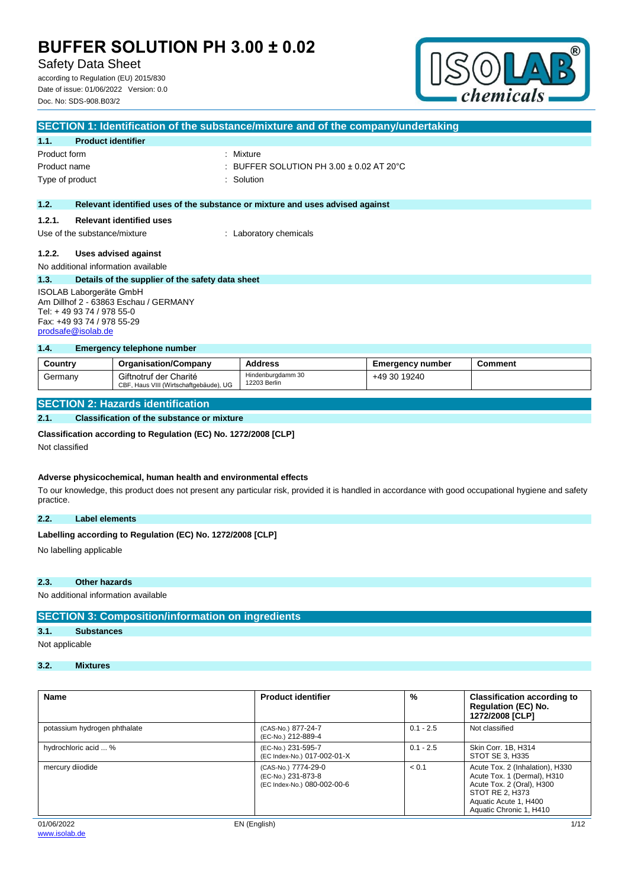# Safety Data Sheet

according to Regulation (EU) 2015/830 Date of issue: 01/06/2022 Version: 0.0 Doc. No: SDS-908.B03/2



| SECTION 1: Identification of the substance/mixture and of the company/undertaking |                                                  |                                                                               |  |
|-----------------------------------------------------------------------------------|--------------------------------------------------|-------------------------------------------------------------------------------|--|
| 1.1.                                                                              | <b>Product identifier</b>                        |                                                                               |  |
| Product form                                                                      |                                                  | : Mixture                                                                     |  |
| Product name                                                                      |                                                  | : BUFFER SOLUTION PH 3.00 $\pm$ 0.02 AT 20 $^{\circ}$ C                       |  |
| Type of product                                                                   |                                                  | : Solution                                                                    |  |
|                                                                                   |                                                  |                                                                               |  |
| 1.2.                                                                              |                                                  | Relevant identified uses of the substance or mixture and uses advised against |  |
| 1.2.1.                                                                            | <b>Relevant identified uses</b>                  |                                                                               |  |
| Use of the substance/mixture                                                      |                                                  | : Laboratory chemicals                                                        |  |
|                                                                                   |                                                  |                                                                               |  |
| 1.2.2.                                                                            | Uses advised against                             |                                                                               |  |
|                                                                                   | No additional information available              |                                                                               |  |
| 1.3.                                                                              | Details of the supplier of the safety data sheet |                                                                               |  |
| <b>ISOLAB Laborgeräte GmbH</b>                                                    |                                                  |                                                                               |  |
| Am Dillhof 2 - 63863 Eschau / GERMANY                                             |                                                  |                                                                               |  |
| Tel: +49 93 74 / 978 55-0                                                         |                                                  |                                                                               |  |
| Fax: +49 93 74 / 978 55-29                                                        |                                                  |                                                                               |  |

#### **1.4. Emergency telephone number**

| Country | <b>Organisation/Company</b>                                      | <b>Address</b>                    | <b>Emergency number</b> | Comment |
|---------|------------------------------------------------------------------|-----------------------------------|-------------------------|---------|
| Germany | Giftnotruf der Charité<br>CBF, Haus VIII (Wirtschaftgebäude), UG | Hindenburgdamm 30<br>12203 Berlin | +49 30 19240            |         |

## **SECTION 2: Hazards identification**

### **2.1. Classification of the substance or mixture**

#### **Classification according to Regulation (EC) No. 1272/2008 [CLP]**

Not classified

[prodsafe@isolab.de](mailto:prodsafe@isolab.de)

#### **Adverse physicochemical, human health and environmental effects**

To our knowledge, this product does not present any particular risk, provided it is handled in accordance with good occupational hygiene and safety practice.

### **2.2. Label elements**

#### Labelling according to Regulation (EC) No. 1272/2008 [CLP]

No labelling applicable

#### **2.3. Other hazards**

No additional information available

## **SECTION 3: Composition/information on ingredients**

# **3.1. Substances**

Not applicable

## **3.2. Mixtures**

| <b>Name</b>                  | <b>Product identifier</b>                                                | %           | <b>Classification according to</b><br><b>Regulation (EC) No.</b><br>1272/2008 [CLP]                                                                                |
|------------------------------|--------------------------------------------------------------------------|-------------|--------------------------------------------------------------------------------------------------------------------------------------------------------------------|
| potassium hydrogen phthalate | (CAS-No.) 877-24-7<br>(EC-No.) 212-889-4                                 | $0.1 - 2.5$ | Not classified                                                                                                                                                     |
| hydrochloric acid  %         | (EC-No.) 231-595-7<br>(EC Index-No.) 017-002-01-X                        | $0.1 - 2.5$ | Skin Corr. 1B. H314<br>STOT SE 3, H335                                                                                                                             |
| mercury diiodide             | (CAS-No.) 7774-29-0<br>(EC-No.) 231-873-8<br>(EC Index-No.) 080-002-00-6 | < 0.1       | Acute Tox. 2 (Inhalation), H330<br>Acute Tox. 1 (Dermal), H310<br>Acute Tox. 2 (Oral), H300<br>STOT RE 2, H373<br>Aquatic Acute 1, H400<br>Aquatic Chronic 1, H410 |
| 01/06/2022                   | EN (English)                                                             |             | 1/12                                                                                                                                                               |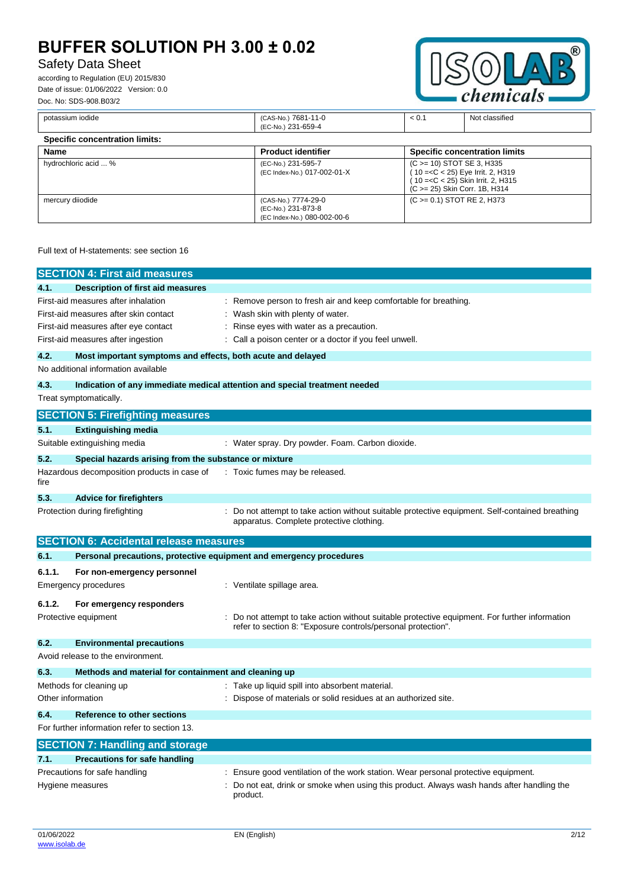# Safety Data Sheet

according to Regulation (EU) 2015/830 Date of issue: 01/06/2022 Version: 0.0 Doc. No: SDS-908.B03/2



| potassium iodide                      | (CAS-No.) 7681-11-0<br>(EC-No.) 231-659-4                                | < 0.1 | Not classified                                                                                                                            |
|---------------------------------------|--------------------------------------------------------------------------|-------|-------------------------------------------------------------------------------------------------------------------------------------------|
| <b>Specific concentration limits:</b> |                                                                          |       |                                                                                                                                           |
| Name                                  | <b>Product identifier</b>                                                |       | <b>Specific concentration limits</b>                                                                                                      |
| hydrochloric acid  %                  | (EC-No.) 231-595-7<br>(EC Index-No.) 017-002-01-X                        |       | (C > = 10) STOT SE 3, H335<br>(10 = < C < 25) Eye Irrit. 2, H319<br>(10 = < C < 25) Skin Irrit. 2, H315<br>(C > = 25) Skin Corr. 1B, H314 |
| mercury diiodide                      | (CAS-No.) 7774-29-0<br>(EC-No.) 231-873-8<br>(EC Index-No.) 080-002-00-6 |       | $(C \ge 0.1)$ STOT RE 2, H373                                                                                                             |

### Full text of H-statements: see section 16

|                                               | <b>SECTION 4: First aid measures</b>                        |                                                                                                                                                              |  |
|-----------------------------------------------|-------------------------------------------------------------|--------------------------------------------------------------------------------------------------------------------------------------------------------------|--|
| 4.1.                                          | Description of first aid measures                           |                                                                                                                                                              |  |
|                                               | First-aid measures after inhalation                         | : Remove person to fresh air and keep comfortable for breathing.                                                                                             |  |
| First-aid measures after skin contact         |                                                             | Wash skin with plenty of water.                                                                                                                              |  |
|                                               | First-aid measures after eye contact                        | Rinse eyes with water as a precaution.                                                                                                                       |  |
|                                               | First-aid measures after ingestion                          | Call a poison center or a doctor if you feel unwell.                                                                                                         |  |
| 4.2.                                          | Most important symptoms and effects, both acute and delayed |                                                                                                                                                              |  |
|                                               | No additional information available                         |                                                                                                                                                              |  |
| 4.3.                                          |                                                             | Indication of any immediate medical attention and special treatment needed                                                                                   |  |
| Treat symptomatically.                        |                                                             |                                                                                                                                                              |  |
|                                               | <b>SECTION 5: Firefighting measures</b>                     |                                                                                                                                                              |  |
| 5.1.                                          | <b>Extinguishing media</b>                                  |                                                                                                                                                              |  |
|                                               | Suitable extinguishing media                                | : Water spray. Dry powder. Foam. Carbon dioxide.                                                                                                             |  |
| 5.2.                                          | Special hazards arising from the substance or mixture       |                                                                                                                                                              |  |
| fire                                          | Hazardous decomposition products in case of                 | : Toxic fumes may be released.                                                                                                                               |  |
| 5.3.                                          | <b>Advice for firefighters</b>                              |                                                                                                                                                              |  |
|                                               | Protection during firefighting                              | : Do not attempt to take action without suitable protective equipment. Self-contained breathing<br>apparatus. Complete protective clothing.                  |  |
| <b>SECTION 6: Accidental release measures</b> |                                                             |                                                                                                                                                              |  |
| 6.1.                                          |                                                             | Personal precautions, protective equipment and emergency procedures                                                                                          |  |
| 6.1.1.                                        | For non-emergency personnel                                 |                                                                                                                                                              |  |
| <b>Emergency procedures</b>                   |                                                             | : Ventilate spillage area.                                                                                                                                   |  |
| 6.1.2.                                        | For emergency responders                                    |                                                                                                                                                              |  |
| Protective equipment                          |                                                             | Do not attempt to take action without suitable protective equipment. For further information<br>refer to section 8: "Exposure controls/personal protection". |  |
| 6.2.                                          | <b>Environmental precautions</b>                            |                                                                                                                                                              |  |
|                                               | Avoid release to the environment.                           |                                                                                                                                                              |  |
| 6.3.                                          | Methods and material for containment and cleaning up        |                                                                                                                                                              |  |
| Methods for cleaning up                       |                                                             | : Take up liquid spill into absorbent material.                                                                                                              |  |
| Other information                             |                                                             | Dispose of materials or solid residues at an authorized site.                                                                                                |  |
| 6.4.                                          | Reference to other sections                                 |                                                                                                                                                              |  |
|                                               | For further information refer to section 13.                |                                                                                                                                                              |  |
|                                               | <b>SECTION 7: Handling and storage</b>                      |                                                                                                                                                              |  |
| 7.1.                                          | <b>Precautions for safe handling</b>                        |                                                                                                                                                              |  |
|                                               | Precautions for safe handling                               | Ensure good ventilation of the work station. Wear personal protective equipment.                                                                             |  |
| Hygiene measures                              |                                                             | Do not eat, drink or smoke when using this product. Always wash hands after handling the<br>product.                                                         |  |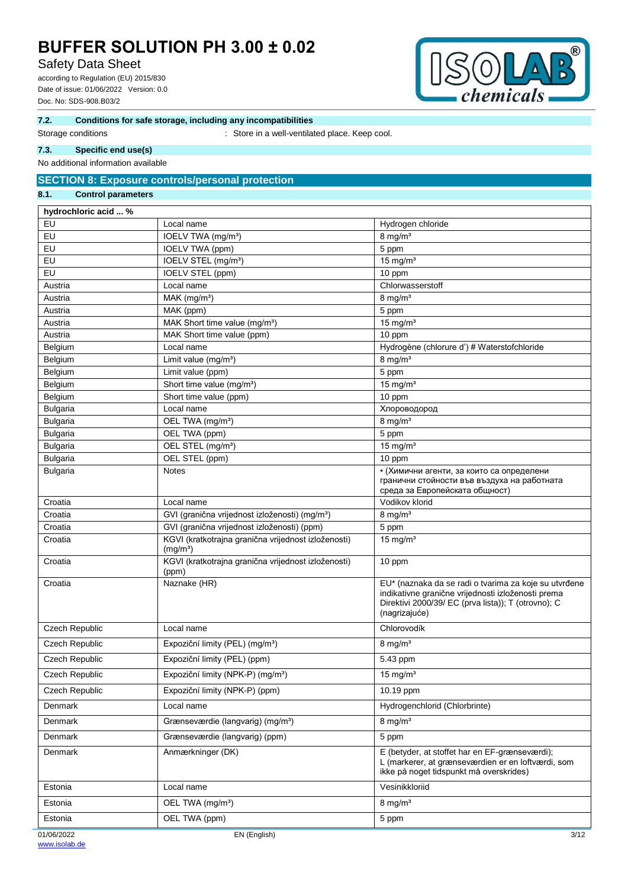# Safety Data Sheet

according to Regulation (EU) 2015/830 Date of issue: 01/06/2022 Version: 0.0 Doc. No: SDS-908.B03/2



### **7.2. Conditions for safe storage, including any incompatibilities**

Storage conditions **Storage conditions** : Store in a well-ventilated place. Keep cool.

### **7.3. Specific end use(s)**

No additional information available

# **SECTION 8: Exposure controls/personal protection**

# **8.1. Control parameters**

| hydrochloric acid  % |                                                                             |                                                                                                                                                                                     |
|----------------------|-----------------------------------------------------------------------------|-------------------------------------------------------------------------------------------------------------------------------------------------------------------------------------|
| EU                   | Local name                                                                  | Hydrogen chloride                                                                                                                                                                   |
| EU                   | IOELV TWA (mg/m <sup>3</sup> )                                              | $8 \text{ mg/m}^3$                                                                                                                                                                  |
| EU                   | IOELV TWA (ppm)                                                             | 5 ppm                                                                                                                                                                               |
| EU                   | IOELV STEL (mg/m <sup>3</sup> )                                             | $15$ mg/m <sup>3</sup>                                                                                                                                                              |
| EU                   | IOELV STEL (ppm)                                                            | 10 ppm                                                                                                                                                                              |
| Austria              | Local name                                                                  | Chlorwasserstoff                                                                                                                                                                    |
| Austria              | $MAK$ (mg/m <sup>3</sup> )                                                  | $8 \text{ mg/m}^3$                                                                                                                                                                  |
| Austria              | MAK (ppm)                                                                   | 5 ppm                                                                                                                                                                               |
| Austria              | MAK Short time value (mg/m <sup>3</sup> )                                   | 15 mg/ $m3$                                                                                                                                                                         |
| Austria              | MAK Short time value (ppm)                                                  | 10 ppm                                                                                                                                                                              |
| Belgium              | Local name                                                                  | Hydrogène (chlorure d') # Waterstofchloride                                                                                                                                         |
| Belgium              | Limit value (mg/m <sup>3</sup> )                                            | $8$ mg/m <sup>3</sup>                                                                                                                                                               |
| Belgium              | Limit value (ppm)                                                           | 5 ppm                                                                                                                                                                               |
| Belgium              | Short time value (mg/m <sup>3</sup> )                                       | 15 mg/ $m3$                                                                                                                                                                         |
| Belgium              | Short time value (ppm)                                                      | 10 ppm                                                                                                                                                                              |
| <b>Bulgaria</b>      | Local name                                                                  | Хлороводород                                                                                                                                                                        |
| <b>Bulgaria</b>      | OEL TWA (mg/m <sup>3</sup> )                                                | $8 \text{ mg/m}^3$                                                                                                                                                                  |
| <b>Bulgaria</b>      | OEL TWA (ppm)                                                               | 5 ppm                                                                                                                                                                               |
| <b>Bulgaria</b>      | OEL STEL (mg/m <sup>3</sup> )                                               | 15 mg/ $m3$                                                                                                                                                                         |
| <b>Bulgaria</b>      | OEL STEL (ppm)                                                              | 10 ppm                                                                                                                                                                              |
| <b>Bulgaria</b>      | <b>Notes</b>                                                                | • (Химични агенти, за които са определени<br>гранични стойности във въздуха на работната<br>среда за Европейската общност)                                                          |
| Croatia              | Local name                                                                  | Vodikov klorid                                                                                                                                                                      |
| Croatia              | GVI (granična vrijednost izloženosti) (mg/m <sup>3</sup> )                  | $8$ mg/m $3$                                                                                                                                                                        |
| Croatia              | GVI (granična vrijednost izloženosti) (ppm)                                 | 5 ppm                                                                                                                                                                               |
| Croatia              | KGVI (kratkotrajna granična vrijednost izloženosti)<br>(mg/m <sup>3</sup> ) | 15 mg/ $m3$                                                                                                                                                                         |
| Croatia              | KGVI (kratkotrajna granična vrijednost izloženosti)<br>(ppm)                | 10 ppm                                                                                                                                                                              |
| Croatia              | Naznake (HR)                                                                | EU* (naznaka da se radi o tvarima za koje su utvrđene<br>indikativne granične vrijednosti izloženosti prema<br>Direktivi 2000/39/ EC (prva lista)); T (otrovno); C<br>(nagrizajuće) |
| Czech Republic       | Local name                                                                  | Chlorovodík                                                                                                                                                                         |
| Czech Republic       | Expoziční limity (PEL) (mg/m <sup>3</sup> )                                 | $8 \text{ mg/m}^3$                                                                                                                                                                  |
| Czech Republic       | Expoziční limity (PEL) (ppm)                                                | 5.43 ppm                                                                                                                                                                            |
| Czech Republic       | Expoziční limity (NPK-P) (mg/m <sup>3</sup> )                               | $15 \text{ mg/m}^3$                                                                                                                                                                 |
| Czech Republic       | Expoziční limity (NPK-P) (ppm)                                              | 10.19 ppm                                                                                                                                                                           |
| <b>Denmark</b>       | Local name                                                                  | Hydrogenchlorid (Chlorbrinte)                                                                                                                                                       |
| <b>Denmark</b>       | Grænseværdie (langvarig) (mg/m <sup>3</sup> )                               | $8 \text{ mg/m}^3$                                                                                                                                                                  |
| <b>Denmark</b>       | Grænseværdie (langvarig) (ppm)                                              | 5 ppm                                                                                                                                                                               |
| <b>Denmark</b>       | Anmærkninger (DK)                                                           | E (betyder, at stoffet har en EF-grænseværdi);<br>L (markerer, at grænseværdien er en loftværdi, som<br>ikke på noget tidspunkt må overskrides)                                     |
| Estonia              | Local name                                                                  | Vesinikkloriid                                                                                                                                                                      |
| Estonia              | OEL TWA (mg/m <sup>3</sup> )                                                | $8 \text{ mg/m}^3$                                                                                                                                                                  |
| Estonia              | OEL TWA (ppm)                                                               | 5 ppm                                                                                                                                                                               |
| 01/06/2022           | EN (English)                                                                | 3/12                                                                                                                                                                                |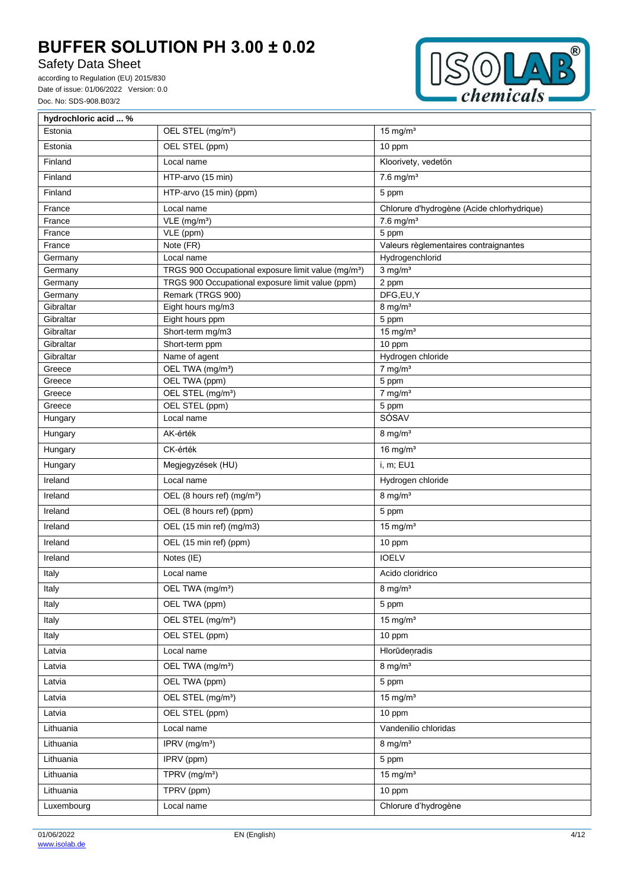Safety Data Sheet

according to Regulation (EU) 2015/830 Date of issue: 01/06/2022 Version: 0.0 Doc. No: SDS-908.B03/2



| hydrochloric acid  % |                                                                 |                                            |
|----------------------|-----------------------------------------------------------------|--------------------------------------------|
| Estonia              | OEL STEL (mg/m <sup>3</sup> )                                   | 15 mg/ $m3$                                |
| Estonia              | OEL STEL (ppm)                                                  | 10 ppm                                     |
| Finland              | Local name                                                      | Kloorivety, vedetön                        |
| Finland              | HTP-arvo (15 min)                                               | $7.6$ mg/m <sup>3</sup>                    |
| Finland              | HTP-arvo (15 min) (ppm)                                         | 5 ppm                                      |
| France               | Local name                                                      | Chlorure d'hydrogène (Acide chlorhydrique) |
| France               | $VLE$ (mg/m <sup>3</sup> )                                      | $7.6$ mg/m <sup>3</sup>                    |
| France               | VLE (ppm)                                                       | 5 ppm                                      |
| France               | Note (FR)                                                       | Valeurs règlementaires contraignantes      |
| Germany              | Local name                                                      | Hydrogenchlorid                            |
| Germany              | TRGS 900 Occupational exposure limit value (mg/m <sup>3</sup> ) | $3$ mg/m <sup>3</sup>                      |
| Germany              | TRGS 900 Occupational exposure limit value (ppm)                | 2 ppm                                      |
| Germany              | Remark (TRGS 900)                                               | DFG,EU,Y                                   |
| Gibraltar            | Eight hours mg/m3                                               | $8$ mg/m <sup>3</sup>                      |
| Gibraltar            | Eight hours ppm                                                 | 5 ppm                                      |
| Gibraltar            | Short-term mg/m3                                                | 15 mg/ $m3$                                |
| Gibraltar            | Short-term ppm                                                  | 10 ppm                                     |
| Gibraltar            | Name of agent                                                   | Hydrogen chloride                          |
| Greece               | OEL TWA (mg/m <sup>3</sup> )                                    | $7$ mg/m <sup>3</sup>                      |
| Greece               | OEL TWA (ppm)                                                   | 5 ppm                                      |
| Greece               | OEL STEL (mg/m <sup>3</sup> )                                   | $7$ mg/m <sup>3</sup>                      |
| Greece               | OEL STEL (ppm)                                                  | 5 ppm                                      |
| Hungary              | Local name                                                      | SÓSAV                                      |
| Hungary              | AK-érték                                                        | $8$ mg/m <sup>3</sup>                      |
| Hungary              | CK-érték                                                        | 16 mg/ $m3$                                |
| Hungary              | Megjegyzések (HU)                                               | i, m; EU1                                  |
| Ireland              | Local name                                                      | Hydrogen chloride                          |
| Ireland              | OEL (8 hours ref) (mg/m <sup>3</sup> )                          | $8 \text{ mg/m}^3$                         |
| Ireland              | OEL (8 hours ref) (ppm)                                         | 5 ppm                                      |
| Ireland              | OEL (15 min ref) (mg/m3)                                        | 15 mg/ $m3$                                |
| Ireland              | OEL (15 min ref) (ppm)                                          | 10 ppm                                     |
| Ireland              | Notes (IE)                                                      | <b>IOELV</b>                               |
| Italy                | Local name                                                      | Acido cloridrico                           |
| Italy                | OEL TWA (mg/m <sup>3</sup> )                                    | $8 \text{ mg/m}^3$                         |
| Italy                | OEL TWA (ppm)                                                   | 5 ppm                                      |
| Italy                | OEL STEL (mg/m <sup>3</sup> )                                   | 15 mg/ $m3$                                |
| Italy                | OEL STEL (ppm)                                                  | 10 ppm                                     |
| Latvia               | Local name                                                      | Hlorūdeņradis                              |
| Latvia               | OEL TWA (mg/m <sup>3</sup> )                                    | $8 \text{ mg/m}^3$                         |
| Latvia               | OEL TWA (ppm)                                                   | 5 ppm                                      |
| Latvia               | OEL STEL (mg/m <sup>3</sup> )                                   | 15 mg/ $m3$                                |
| Latvia               | OEL STEL (ppm)                                                  | 10 ppm                                     |
| Lithuania            | Local name                                                      | Vandenilio chloridas                       |
| Lithuania            | IPRV (mg/m <sup>3</sup> )                                       | $8$ mg/m <sup>3</sup>                      |
| Lithuania            | IPRV (ppm)                                                      | 5 ppm                                      |
| Lithuania            | TPRV (mg/m <sup>3</sup> )                                       | $15 \text{ mg/m}^3$                        |
| Lithuania            | TPRV (ppm)                                                      | 10 ppm                                     |
| Luxembourg           | Local name                                                      | Chlorure d'hydrogène                       |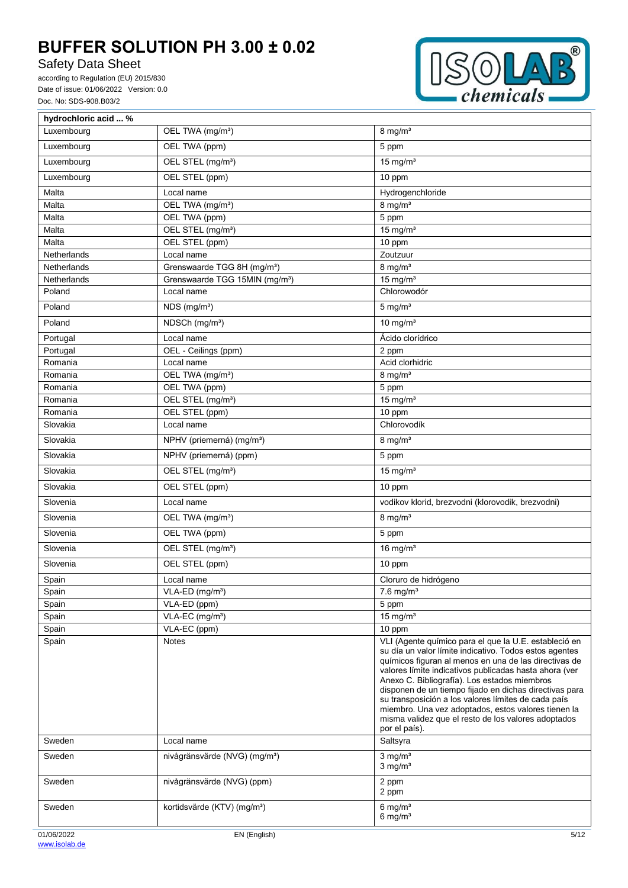# Safety Data Sheet

according to Regulation (EU) 2015/830 Date of issue: 01/06/2022 Version: 0.0 Doc. No: SDS-908.B03/2



| hydrochloric acid  % |                                                |                                                                                                                                                                                                                                                                                                                                                                                                                                                                                                                                    |
|----------------------|------------------------------------------------|------------------------------------------------------------------------------------------------------------------------------------------------------------------------------------------------------------------------------------------------------------------------------------------------------------------------------------------------------------------------------------------------------------------------------------------------------------------------------------------------------------------------------------|
| Luxembourg           | OEL TWA (mg/m <sup>3</sup> )                   | $8 \text{ mg/m}^3$                                                                                                                                                                                                                                                                                                                                                                                                                                                                                                                 |
| Luxembourg           | OEL TWA (ppm)                                  | 5 ppm                                                                                                                                                                                                                                                                                                                                                                                                                                                                                                                              |
| Luxembourg           | OEL STEL (mg/m <sup>3</sup> )                  | $15$ mg/m <sup>3</sup>                                                                                                                                                                                                                                                                                                                                                                                                                                                                                                             |
| Luxembourg           | OEL STEL (ppm)                                 | 10 ppm                                                                                                                                                                                                                                                                                                                                                                                                                                                                                                                             |
| Malta                | Local name                                     | Hydrogenchloride                                                                                                                                                                                                                                                                                                                                                                                                                                                                                                                   |
| Malta                | OEL TWA (mg/m <sup>3</sup> )                   | $8$ mg/m <sup>3</sup>                                                                                                                                                                                                                                                                                                                                                                                                                                                                                                              |
| Malta                | OEL TWA (ppm)                                  | 5 ppm                                                                                                                                                                                                                                                                                                                                                                                                                                                                                                                              |
| Malta                | OEL STEL (mg/m <sup>3</sup> )                  | $15 \text{ mg/m}^3$                                                                                                                                                                                                                                                                                                                                                                                                                                                                                                                |
| Malta                | OEL STEL (ppm)                                 | 10 ppm                                                                                                                                                                                                                                                                                                                                                                                                                                                                                                                             |
| Netherlands          | Local name                                     | Zoutzuur                                                                                                                                                                                                                                                                                                                                                                                                                                                                                                                           |
| Netherlands          | Grenswaarde TGG 8H (mg/m <sup>3</sup> )        | $8$ mg/m <sup>3</sup>                                                                                                                                                                                                                                                                                                                                                                                                                                                                                                              |
| Netherlands          | Grenswaarde TGG 15MIN (mg/m <sup>3</sup> )     | $15$ mg/m <sup>3</sup>                                                                                                                                                                                                                                                                                                                                                                                                                                                                                                             |
| Poland               | Local name                                     | Chlorowodór                                                                                                                                                                                                                                                                                                                                                                                                                                                                                                                        |
| Poland               | $\overline{\text{NDS}}$ (mg/m <sup>3</sup> )   | $5$ mg/m <sup>3</sup>                                                                                                                                                                                                                                                                                                                                                                                                                                                                                                              |
| Poland               | NDSCh (mg/m <sup>3</sup> )                     | $10$ mg/m <sup>3</sup>                                                                                                                                                                                                                                                                                                                                                                                                                                                                                                             |
| Portugal             | Local name                                     | Ácido clorídrico                                                                                                                                                                                                                                                                                                                                                                                                                                                                                                                   |
| Portugal             | OEL - Ceilings (ppm)                           | 2 ppm                                                                                                                                                                                                                                                                                                                                                                                                                                                                                                                              |
| Romania              | Local name                                     | Acid clorhidric                                                                                                                                                                                                                                                                                                                                                                                                                                                                                                                    |
| Romania              | OEL TWA (mg/m <sup>3</sup> )                   | $8$ mg/m <sup>3</sup>                                                                                                                                                                                                                                                                                                                                                                                                                                                                                                              |
| Romania<br>Romania   | OEL TWA (ppm)<br>OEL STEL (mg/m <sup>3</sup> ) | 5 ppm<br>$15$ mg/m <sup>3</sup>                                                                                                                                                                                                                                                                                                                                                                                                                                                                                                    |
| Romania              | OEL STEL (ppm)                                 | 10 ppm                                                                                                                                                                                                                                                                                                                                                                                                                                                                                                                             |
| Slovakia             | Local name                                     | Chlorovodík                                                                                                                                                                                                                                                                                                                                                                                                                                                                                                                        |
| Slovakia             | NPHV (priemerná) (mg/m <sup>3</sup> )          | $8$ mg/m <sup>3</sup>                                                                                                                                                                                                                                                                                                                                                                                                                                                                                                              |
| Slovakia             | NPHV (priemerná) (ppm)                         | 5 ppm                                                                                                                                                                                                                                                                                                                                                                                                                                                                                                                              |
| Slovakia             | OEL STEL (mg/m <sup>3</sup> )                  | $15$ mg/m <sup>3</sup>                                                                                                                                                                                                                                                                                                                                                                                                                                                                                                             |
| Slovakia             | OEL STEL (ppm)                                 | 10 ppm                                                                                                                                                                                                                                                                                                                                                                                                                                                                                                                             |
| Slovenia             | Local name                                     | vodikov klorid, brezvodni (klorovodik, brezvodni)                                                                                                                                                                                                                                                                                                                                                                                                                                                                                  |
| Slovenia             | OEL TWA (mg/m <sup>3</sup> )                   | $8 \text{ mg/m}^3$                                                                                                                                                                                                                                                                                                                                                                                                                                                                                                                 |
| Slovenia             | OEL TWA (ppm)                                  | 5 ppm                                                                                                                                                                                                                                                                                                                                                                                                                                                                                                                              |
| Slovenia             | OEL STEL (mg/m <sup>3</sup> )                  | 16 mg/ $m3$                                                                                                                                                                                                                                                                                                                                                                                                                                                                                                                        |
| Slovenia             | OEL STEL (ppm)                                 | 10 ppm                                                                                                                                                                                                                                                                                                                                                                                                                                                                                                                             |
| Spain                | Local name                                     | Cloruro de hidrógeno                                                                                                                                                                                                                                                                                                                                                                                                                                                                                                               |
| Spain                | VLA-ED (mg/m <sup>3</sup> )                    | $7.6$ mg/m <sup>3</sup>                                                                                                                                                                                                                                                                                                                                                                                                                                                                                                            |
| Spain                | VLA-ED (ppm)                                   | 5 ppm                                                                                                                                                                                                                                                                                                                                                                                                                                                                                                                              |
| Spain                | VLA-EC (mg/m <sup>3</sup> )                    | 15 mg/ $m3$                                                                                                                                                                                                                                                                                                                                                                                                                                                                                                                        |
| Spain                | VLA-EC (ppm)                                   | 10 ppm                                                                                                                                                                                                                                                                                                                                                                                                                                                                                                                             |
| Spain                | <b>Notes</b>                                   | VLI (Agente químico para el que la U.E. estableció en<br>su día un valor límite indicativo. Todos estos agentes<br>químicos figuran al menos en una de las directivas de<br>valores límite indicativos publicadas hasta ahora (ver<br>Anexo C. Bibliografía). Los estados miembros<br>disponen de un tiempo fijado en dichas directivas para<br>su transposición a los valores límites de cada país<br>miembro. Una vez adoptados, estos valores tienen la<br>misma validez que el resto de los valores adoptados<br>por el país). |
| Sweden               | Local name                                     | Saltsyra                                                                                                                                                                                                                                                                                                                                                                                                                                                                                                                           |
| Sweden               | nivågränsvärde (NVG) (mg/m <sup>3</sup> )      | $3$ mg/m <sup>3</sup><br>$3$ mg/m <sup>3</sup>                                                                                                                                                                                                                                                                                                                                                                                                                                                                                     |
| Sweden               | nivågränsvärde (NVG) (ppm)                     | 2 ppm<br>2 ppm                                                                                                                                                                                                                                                                                                                                                                                                                                                                                                                     |
| Sweden               | kortidsvärde (KTV) (mg/m <sup>3</sup> )        | $6$ mg/m <sup>3</sup><br>$6$ mg/m <sup>3</sup>                                                                                                                                                                                                                                                                                                                                                                                                                                                                                     |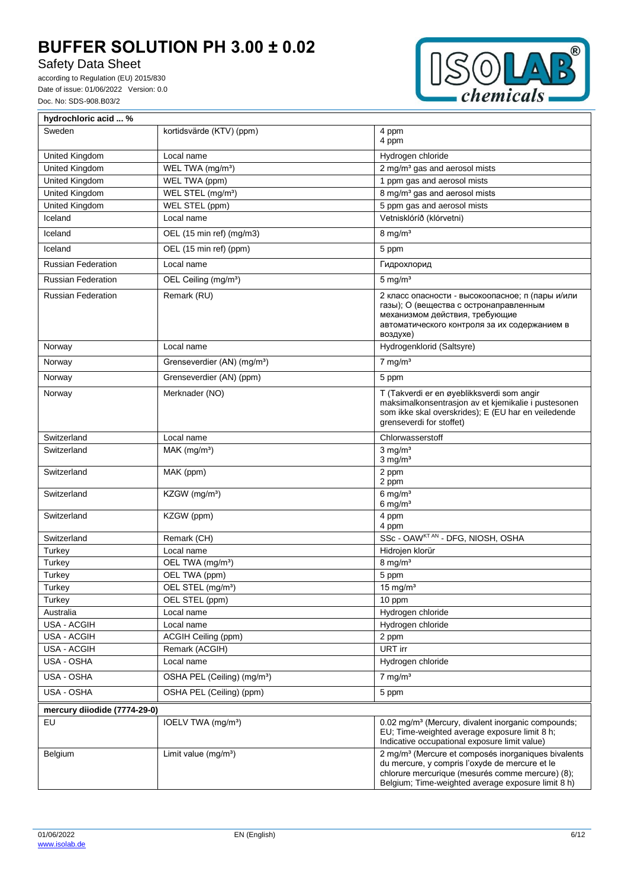Safety Data Sheet

according to Regulation (EU) 2015/830 Date of issue: 01/06/2022 Version: 0.0 Doc. No: SDS-908.B03/2



| hydrochloric acid  %         |                                         |                                                                                                                                                                                                                             |  |  |
|------------------------------|-----------------------------------------|-----------------------------------------------------------------------------------------------------------------------------------------------------------------------------------------------------------------------------|--|--|
| Sweden                       | kortidsvärde (KTV) (ppm)                | 4 ppm<br>4 ppm                                                                                                                                                                                                              |  |  |
| United Kingdom               | Local name                              | Hydrogen chloride                                                                                                                                                                                                           |  |  |
| United Kingdom               | WEL TWA (mg/m <sup>3</sup> )            | 2 mg/m <sup>3</sup> gas and aerosol mists                                                                                                                                                                                   |  |  |
| United Kingdom               | WEL TWA (ppm)                           | 1 ppm gas and aerosol mists                                                                                                                                                                                                 |  |  |
| United Kingdom               | WEL STEL (mg/m <sup>3</sup> )           | 8 mg/m <sup>3</sup> gas and aerosol mists                                                                                                                                                                                   |  |  |
| United Kingdom               | WEL STEL (ppm)                          | 5 ppm gas and aerosol mists                                                                                                                                                                                                 |  |  |
| Iceland                      | Local name                              | Vetnisklóríð (klórvetni)                                                                                                                                                                                                    |  |  |
| Iceland                      | OEL (15 min ref) (mg/m3)                | $8$ mg/m <sup>3</sup>                                                                                                                                                                                                       |  |  |
| Iceland                      | OEL (15 min ref) (ppm)                  | 5 ppm                                                                                                                                                                                                                       |  |  |
| <b>Russian Federation</b>    | Local name                              | Гидрохлорид                                                                                                                                                                                                                 |  |  |
| <b>Russian Federation</b>    | OEL Ceiling (mg/m <sup>3</sup> )        | $5 \text{ mg/m}^3$                                                                                                                                                                                                          |  |  |
| <b>Russian Federation</b>    | Remark (RU)                             | 2 класс опасности - высокоопасное; п (пары и/или<br>газы); О (вещества с остронаправленным<br>механизмом действия, требующие<br>автоматического контроля за их содержанием в<br>воздухе)                                    |  |  |
| Norway                       | Local name                              | Hydrogenklorid (Saltsyre)                                                                                                                                                                                                   |  |  |
| Norway                       | Grenseverdier (AN) (mg/m <sup>3</sup> ) | $7$ mg/m <sup>3</sup>                                                                                                                                                                                                       |  |  |
| Norway                       | Grenseverdier (AN) (ppm)                | 5 ppm                                                                                                                                                                                                                       |  |  |
| Norway                       | Merknader (NO)                          | T (Takverdi er en øyeblikksverdi som angir<br>maksimalkonsentrasjon av et kjemikalie i pustesonen<br>som ikke skal overskrides); E (EU har en veiledende<br>grenseverdi for stoffet)                                        |  |  |
| Switzerland                  | Local name                              | Chlorwasserstoff                                                                                                                                                                                                            |  |  |
| Switzerland                  | $MAK$ (mg/m <sup>3</sup> )              | $3 \text{ mg/m}^3$<br>$3$ mg/m <sup>3</sup>                                                                                                                                                                                 |  |  |
| Switzerland                  | MAK (ppm)                               | 2 ppm<br>2 ppm                                                                                                                                                                                                              |  |  |
| Switzerland                  | KZGW (mg/m <sup>3</sup> )               | $6$ mg/m <sup>3</sup><br>$6$ mg/m <sup>3</sup>                                                                                                                                                                              |  |  |
| Switzerland                  | KZGW (ppm)                              | 4 ppm<br>4 ppm                                                                                                                                                                                                              |  |  |
| Switzerland                  | Remark (CH)                             | SSc - OAWKTAN - DFG, NIOSH, OSHA                                                                                                                                                                                            |  |  |
| Turkey                       | Local name                              | Hidrojen klorür                                                                                                                                                                                                             |  |  |
| Turkey                       | OEL TWA (mg/m <sup>3</sup> )            | $8$ mg/m <sup>3</sup>                                                                                                                                                                                                       |  |  |
| Turkey                       | OEL TWA (ppm)                           | 5 ppm                                                                                                                                                                                                                       |  |  |
| Turkey                       | OEL STEL (mg/m <sup>3</sup> )           | 15 mg/m <sup>3</sup>                                                                                                                                                                                                        |  |  |
| Turkey                       | OEL STEL (ppm)                          | 10 ppm                                                                                                                                                                                                                      |  |  |
| Australia                    | Local name                              | Hydrogen chloride                                                                                                                                                                                                           |  |  |
| USA - ACGIH                  | Local name                              | Hydrogen chloride                                                                                                                                                                                                           |  |  |
| USA - ACGIH                  | ACGIH Ceiling (ppm)                     | 2 ppm                                                                                                                                                                                                                       |  |  |
| USA - ACGIH                  | Remark (ACGIH)                          | URT irr                                                                                                                                                                                                                     |  |  |
| USA - OSHA                   | Local name                              | Hydrogen chloride                                                                                                                                                                                                           |  |  |
| USA - OSHA                   | OSHA PEL (Ceiling) (mg/m <sup>3</sup> ) | $7 \text{ mg/m}^3$                                                                                                                                                                                                          |  |  |
| USA - OSHA                   | OSHA PEL (Ceiling) (ppm)                | 5 ppm                                                                                                                                                                                                                       |  |  |
| mercury diiodide (7774-29-0) |                                         |                                                                                                                                                                                                                             |  |  |
| EU                           | IOELV TWA (mg/m <sup>3</sup> )          | 0.02 mg/m <sup>3</sup> (Mercury, divalent inorganic compounds;<br>EU; Time-weighted average exposure limit 8 h;<br>Indicative occupational exposure limit value)                                                            |  |  |
| Belgium                      | Limit value $(mg/m3)$                   | 2 mg/m <sup>3</sup> (Mercure et composés inorganiques bivalents<br>du mercure, y compris l'oxyde de mercure et le<br>chlorure mercurique (mesurés comme mercure) (8);<br>Belgium; Time-weighted average exposure limit 8 h) |  |  |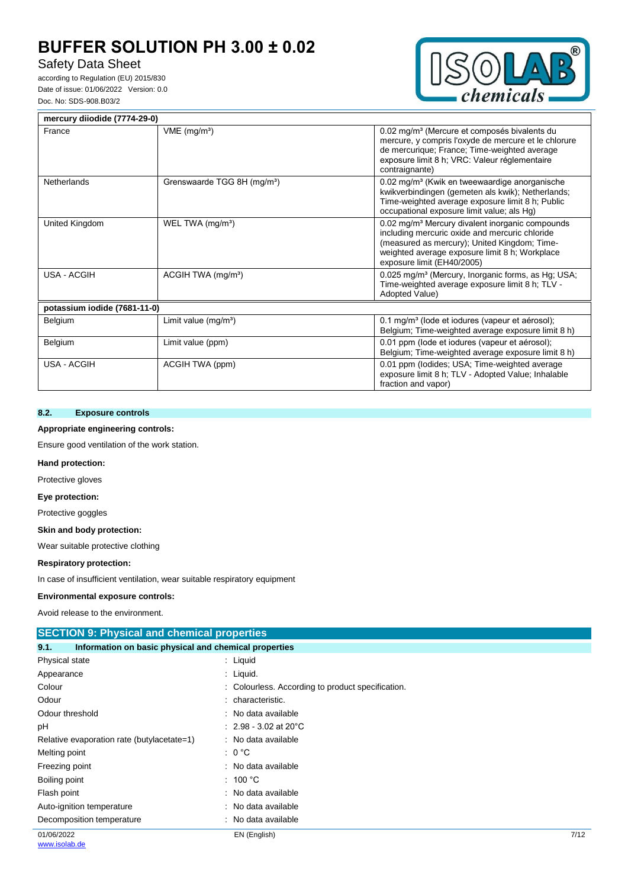# Safety Data Sheet

according to Regulation (EU) 2015/830 Date of issue: 01/06/2022 Version: 0.0 Doc. No: SDS-908.B03/2



| mercury diiodide (7774-29-0) |                                         |                                                                                                                                                                                                                                               |
|------------------------------|-----------------------------------------|-----------------------------------------------------------------------------------------------------------------------------------------------------------------------------------------------------------------------------------------------|
| France                       | $VME$ (mg/m <sup>3</sup> )              | 0.02 mg/m <sup>3</sup> (Mercure et composés bivalents du<br>mercure, y compris l'oxyde de mercure et le chlorure<br>de mercurique; France; Time-weighted average<br>exposure limit 8 h; VRC: Valeur réglementaire<br>contraignante)           |
| <b>Netherlands</b>           | Grenswaarde TGG 8H (mg/m <sup>3</sup> ) | 0.02 mg/m <sup>3</sup> (Kwik en tweewaardige anorganische<br>kwikverbindingen (gemeten als kwik); Netherlands;<br>Time-weighted average exposure limit 8 h; Public<br>occupational exposure limit value; als Hg)                              |
| United Kingdom               | WEL TWA (mg/m <sup>3</sup> )            | 0.02 mg/m <sup>3</sup> Mercury divalent inorganic compounds<br>including mercuric oxide and mercuric chloride<br>(measured as mercury); United Kingdom; Time-<br>weighted average exposure limit 8 h; Workplace<br>exposure limit (EH40/2005) |
| USA - ACGIH                  | ACGIH TWA (mg/m <sup>3</sup> )          | 0.025 mg/m <sup>3</sup> (Mercury, Inorganic forms, as Hg; USA;<br>Time-weighted average exposure limit 8 h; TLV -<br>Adopted Value)                                                                                                           |
| potassium iodide (7681-11-0) |                                         |                                                                                                                                                                                                                                               |
| Belgium                      | Limit value (mg/m <sup>3</sup> )        | 0.1 mg/m <sup>3</sup> (lode et iodures (vapeur et aérosol);<br>Belgium; Time-weighted average exposure limit 8 h)                                                                                                                             |
| Belgium                      | Limit value (ppm)                       | 0.01 ppm (lode et iodures (vapeur et aérosol);<br>Belgium; Time-weighted average exposure limit 8 h)                                                                                                                                          |
| USA - ACGIH                  | ACGIH TWA (ppm)                         | 0.01 ppm (lodides; USA; Time-weighted average<br>exposure limit 8 h; TLV - Adopted Value; Inhalable<br>fraction and vapor)                                                                                                                    |

## **8.2. Exposure controls**

#### **Appropriate engineering controls:**

Ensure good ventilation of the work station.

### **Hand protection:**

Protective gloves

**Eye protection:**

Protective goggles

#### **Skin and body protection:**

Wear suitable protective clothing

#### **Respiratory protection:**

In case of insufficient ventilation, wear suitable respiratory equipment

#### **Environmental exposure controls:**

Avoid release to the environment.

| <b>SECTION 9: Physical and chemical properties</b> |                                                       |      |  |
|----------------------------------------------------|-------------------------------------------------------|------|--|
| 9.1.                                               | Information on basic physical and chemical properties |      |  |
| Physical state                                     | : Liquid                                              |      |  |
| Appearance                                         | : Liquid.                                             |      |  |
| Colour                                             | : Colourless. According to product specification.     |      |  |
| Odour                                              | characteristic.<br>÷                                  |      |  |
| Odour threshold                                    | : No data available                                   |      |  |
| рH                                                 | $: 2.98 - 3.02$ at 20 $^{\circ}$ C                    |      |  |
| Relative evaporation rate (butylacetate=1)         | : No data available                                   |      |  |
| Melting point                                      | : 0 °C                                                |      |  |
| Freezing point                                     | : No data available                                   |      |  |
| Boiling point                                      | : 100 $^{\circ}$ C                                    |      |  |
| Flash point                                        | : No data available                                   |      |  |
| Auto-ignition temperature                          | : No data available                                   |      |  |
| Decomposition temperature                          | : No data available                                   |      |  |
| 01/06/2022                                         | EN (English)                                          | 7/12 |  |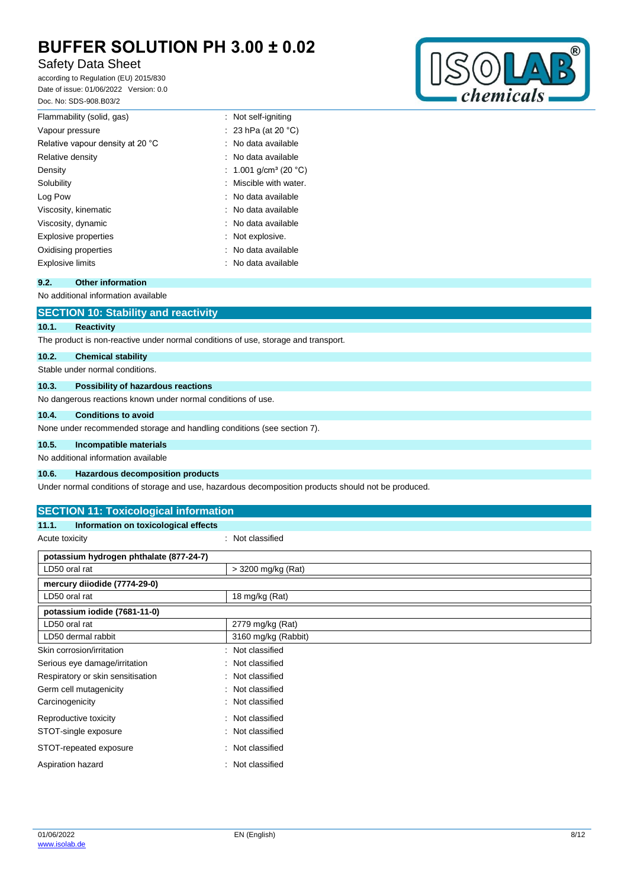# Safety Data Sheet

according to Regulation (EU) 2015/830 Date of issue: 01/06/2022 Version: 0.0 Doc. No: SDS-908.B03/2



| Flammability (solid, gas)        | : Not self-igniting               |
|----------------------------------|-----------------------------------|
| Vapour pressure                  | : 23 hPa (at 20 $^{\circ}$ C)     |
| Relative vapour density at 20 °C | : No data available               |
| Relative density                 | : No data available               |
| Density                          | : 1.001 g/cm <sup>3</sup> (20 °C) |
| Solubility                       | : Miscible with water.            |
| Log Pow                          | : No data available               |
| Viscosity, kinematic             | : No data available               |
| Viscosity, dynamic               | : No data available               |
| Explosive properties             | : Not explosive.                  |
| Oxidising properties             | : No data available               |
| Explosive limits                 | $\therefore$ No data available.   |
|                                  |                                   |

## **9.2. Other information**

No additional information available

## **SECTION 10: Stability and reactivity**

## **10.1. Reactivity**

The product is non-reactive under normal conditions of use, storage and transport.

#### **10.2. Chemical stability**

Stable under normal conditions.

#### **10.3. Possibility of hazardous reactions**

No dangerous reactions known under normal conditions of use.

#### **10.4. Conditions to avoid**

None under recommended storage and handling conditions (see section 7).

#### **10.5. Incompatible materials**

No additional information available

#### **10.6. Hazardous decomposition products**

Under normal conditions of storage and use, hazardous decomposition products should not be produced.

## **SECTION 11: Toxicological information**

| Information on toxicological effects<br>11.1. |                      |
|-----------------------------------------------|----------------------|
| Acute toxicity                                | : Not classified     |
| potassium hydrogen phthalate (877-24-7)       |                      |
| LD50 oral rat                                 | > 3200 mg/kg (Rat)   |
| mercury diiodide (7774-29-0)                  |                      |
| LD50 oral rat                                 | 18 mg/kg (Rat)       |
| potassium iodide (7681-11-0)                  |                      |
| LD50 oral rat                                 | 2779 mg/kg (Rat)     |
| LD50 dermal rabbit                            | 3160 mg/kg (Rabbit)  |
| Skin corrosion/irritation                     | Not classified<br>۰. |
| Serious eye damage/irritation                 | Not classified<br>÷  |
| Respiratory or skin sensitisation             | : Not classified     |
| Germ cell mutagenicity                        | Not classified<br>÷  |
| Carcinogenicity                               | Not classified<br>÷  |
| Reproductive toxicity                         | Not classified<br>÷. |
| STOT-single exposure                          | Not classified       |
| STOT-repeated exposure                        | Not classified<br>÷  |
| Aspiration hazard                             | Not classified       |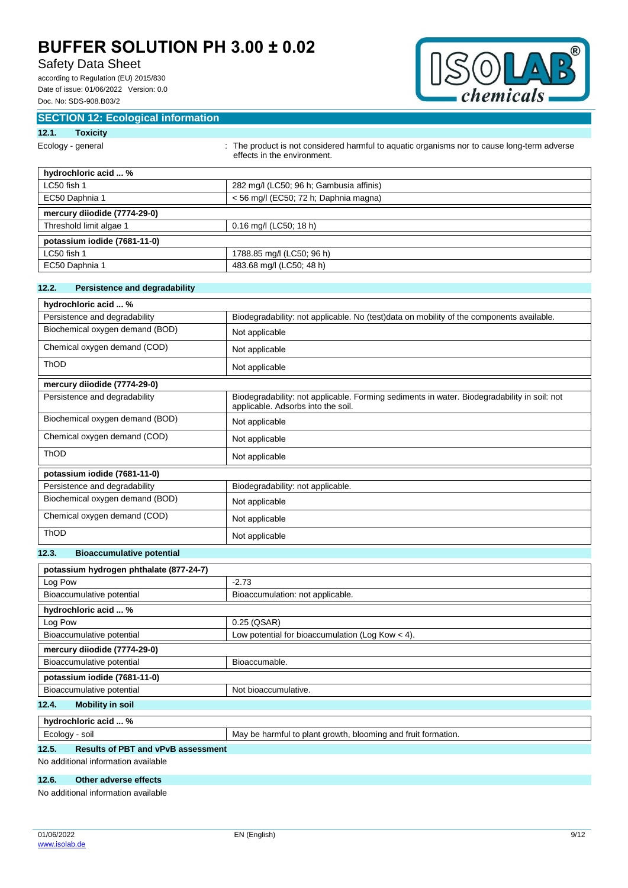# Safety Data Sheet

according to Regulation (EU) 2015/830 Date of issue: 01/06/2022 Version: 0.0 Doc. No: SDS-908.B03/2



## **SECTION 12: Ecological information**

## **12.1. Toxicity**

| Ecology - general |  |
|-------------------|--|
|                   |  |
|                   |  |
|                   |  |

ogy - general **interproduct is not considered harmful to aquatic organisms nor to cause long-term adverse** effects in the environment.

| hydrochloric acid  %         |                                         |
|------------------------------|-----------------------------------------|
| LC50 fish 1                  | 282 mg/l (LC50; 96 h; Gambusia affinis) |
| EC50 Daphnia 1               | < 56 mg/l (EC50; 72 h; Daphnia magna)   |
| mercury diiodide (7774-29-0) |                                         |
| Threshold limit algae 1      | $0.16$ mg/l (LC50; 18 h)                |
| potassium iodide (7681-11-0) |                                         |
| LC50 fish 1                  | 1788.85 mg/l (LC50; 96 h)               |
| EC50 Daphnia 1               | 483.68 mg/l (LC50; 48 h)                |

## **12.2. Persistence and degradability**

| hydrochloric acid  %            |                                                                                                                                   |  |
|---------------------------------|-----------------------------------------------------------------------------------------------------------------------------------|--|
| Persistence and degradability   | Biodegradability: not applicable. No (test) data on mobility of the components available.                                         |  |
| Biochemical oxygen demand (BOD) | Not applicable                                                                                                                    |  |
| Chemical oxygen demand (COD)    | Not applicable                                                                                                                    |  |
| <b>ThOD</b>                     | Not applicable                                                                                                                    |  |
| mercury diiodide (7774-29-0)    |                                                                                                                                   |  |
| Persistence and degradability   | Biodegradability: not applicable. Forming sediments in water. Biodegradability in soil: not<br>applicable. Adsorbs into the soil. |  |
| Biochemical oxygen demand (BOD) | Not applicable                                                                                                                    |  |
| Chemical oxygen demand (COD)    | Not applicable                                                                                                                    |  |
| <b>ThOD</b>                     | Not applicable                                                                                                                    |  |
| potassium iodide (7681-11-0)    |                                                                                                                                   |  |
| Persistence and degradability   | Biodegradability: not applicable.                                                                                                 |  |
| Biochemical oxygen demand (BOD) | Not applicable                                                                                                                    |  |
| Chemical oxygen demand (COD)    | Not applicable                                                                                                                    |  |
| <b>ThOD</b>                     | Not applicable                                                                                                                    |  |

#### **12.3. Bioaccumulative potential**

| potassium hydrogen phthalate (877-24-7)          |                                                               |  |
|--------------------------------------------------|---------------------------------------------------------------|--|
| Log Pow                                          | $-2.73$                                                       |  |
| Bioaccumulative potential                        | Bioaccumulation: not applicable.                              |  |
| hydrochloric acid  %                             |                                                               |  |
| Log Pow                                          | 0.25 (QSAR)                                                   |  |
| Bioaccumulative potential                        | Low potential for bioaccumulation (Log Kow $<$ 4).            |  |
| mercury diiodide (7774-29-0)                     |                                                               |  |
| Bioaccumulative potential                        | Bioaccumable.                                                 |  |
| potassium iodide (7681-11-0)                     |                                                               |  |
| Bioaccumulative potential                        | Not bioaccumulative.                                          |  |
| <b>Mobility in soil</b><br>12.4.                 |                                                               |  |
| hydrochloric acid  %                             |                                                               |  |
| Ecology - soil                                   | May be harmful to plant growth, blooming and fruit formation. |  |
| $\cdots$<br>Bosside of BBT control. Broadcasters |                                                               |  |

#### **12.5. Results of PBT and vPvB assessment**

No additional information available

#### **12.6. Other adverse effects**

No additional information available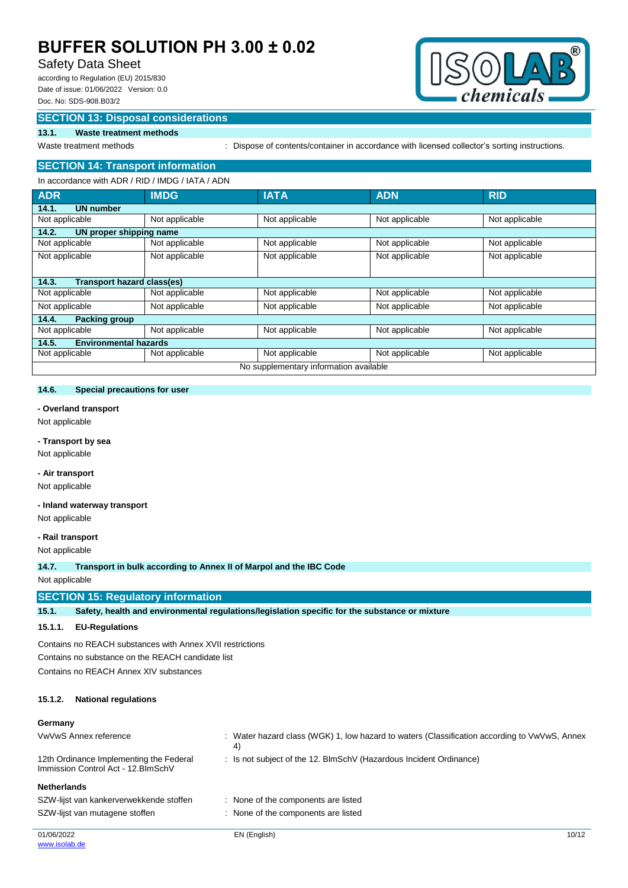# Safety Data Sheet

according to Regulation (EU) 2015/830 Date of issue: 01/06/2022 Version: 0.0 Doc. No: SDS-908.B03/2



### **SECTION 13: Disposal considerations**

#### **13.1. Waste treatment methods**

Waste treatment methods : Dispose of contents/container in accordance with licensed collector's sorting instructions.

#### **SECTION 14: Transport information** In accordance with ADR / RID / IMDG / IATA / ADN

| III accoluatice will ADN / NID / INIDG / IATA / ADN |                |                                        |                |                |
|-----------------------------------------------------|----------------|----------------------------------------|----------------|----------------|
| <b>ADR</b>                                          | <b>IMDG</b>    | <b>IATA</b>                            | <b>ADN</b>     | <b>RID</b>     |
| 14.1.<br><b>UN number</b>                           |                |                                        |                |                |
| Not applicable                                      | Not applicable | Not applicable                         | Not applicable | Not applicable |
| 14.2.<br>UN proper shipping name                    |                |                                        |                |                |
| Not applicable                                      | Not applicable | Not applicable                         | Not applicable | Not applicable |
| Not applicable                                      | Not applicable | Not applicable                         | Not applicable | Not applicable |
|                                                     |                |                                        |                |                |
| Transport hazard class(es)<br>14.3.                 |                |                                        |                |                |
| Not applicable                                      | Not applicable | Not applicable                         | Not applicable | Not applicable |
| Not applicable                                      | Not applicable | Not applicable                         | Not applicable | Not applicable |
| 14.4.<br><b>Packing group</b>                       |                |                                        |                |                |
| Not applicable                                      | Not applicable | Not applicable                         | Not applicable | Not applicable |
| 14.5.<br><b>Environmental hazards</b>               |                |                                        |                |                |
| Not applicable                                      | Not applicable | Not applicable                         | Not applicable | Not applicable |
|                                                     |                | No supplementary information available |                |                |

#### **14.6. Special precautions for user**

## **- Overland transport**

Not applicable

# **- Transport by sea**

Not applicable

## **- Air transport**

Not applicable

#### **- Inland waterway transport**

Not applicable

## **- Rail transport**

Not applicable

#### **14.7. Transport in bulk according to Annex II of Marpol and the IBC Code**

Not applicable

## **SECTION 15: Regulatory information**

**15.1. Safety, health and environmental regulations/legislation specific for the substance or mixture**

#### **15.1.1. EU-Regulations**

Contains no REACH substances with Annex XVII restrictions Contains no substance on the REACH candidate list Contains no REACH Annex XIV substances

#### **15.1.2. National regulations**

#### **Germany**

| VwVwS Annex reference                                                          | : Water hazard class (WGK) 1, low hazard to waters (Classification according to VwVwS, Annex<br>4) |       |
|--------------------------------------------------------------------------------|----------------------------------------------------------------------------------------------------|-------|
| 12th Ordinance Implementing the Federal<br>Immission Control Act - 12. BlmSchV | : Is not subject of the 12. BlmSchV (Hazardous Incident Ordinance)                                 |       |
| <b>Netherlands</b>                                                             |                                                                                                    |       |
| SZW-lijst van kankerverwekkende stoffen                                        | : None of the components are listed                                                                |       |
| SZW-lijst van mutagene stoffen                                                 | : None of the components are listed                                                                |       |
| 01/06/2022<br>www.isolab.de                                                    | EN (English)                                                                                       | 10/12 |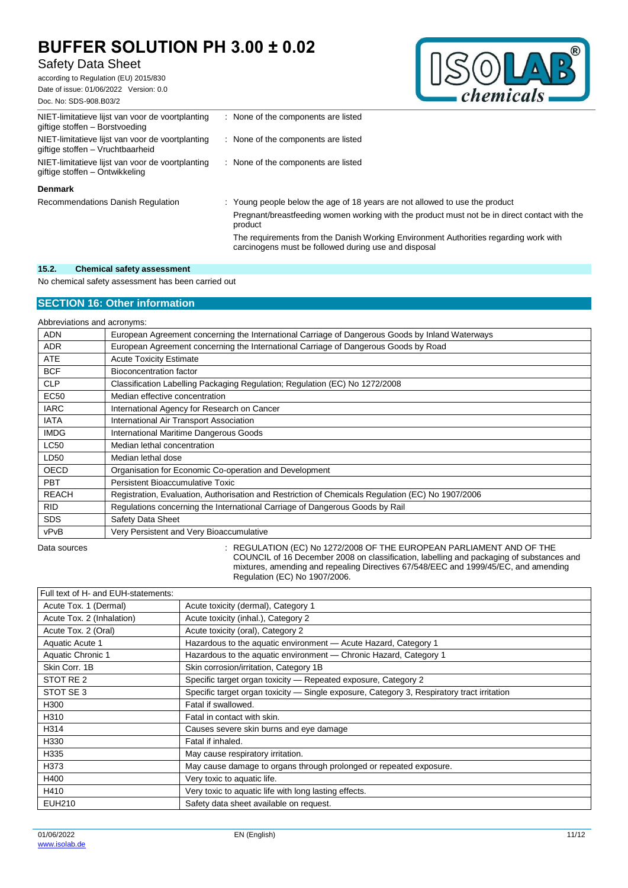# Safety Data Sheet

according to Regulation (EU) 2015/830 Date of issue: 01/06/2022 Version: 0.0



| Doc. No: SDS-908.B03/2                                                               |                                                                             | спети |
|--------------------------------------------------------------------------------------|-----------------------------------------------------------------------------|-------|
| NIET-limitatieve lijst van voor de voortplanting<br>giftige stoffen - Borstvoeding   | None of the components are listed                                           |       |
| NIET-limitatieve lijst van voor de voortplanting<br>giftige stoffen - Vruchtbaarheid | : None of the components are listed                                         |       |
| NIET-limitatieve lijst van voor de voortplanting<br>giftige stoffen – Ontwikkeling   | : None of the components are listed                                         |       |
| <b>Denmark</b>                                                                       |                                                                             |       |
| Recommendations Danish Regulation                                                    | : Young people below the age of 18 years are not allowed to use the product |       |

Pregnant/breastfeeding women working with the product must not be in direct contact with the product The requirements from the Danish Working Environment Authorities regarding work with carcinogens must be followed during use and disposal

#### **15.2. Chemical safety assessment**

No chemical safety assessment has been carried out

## **SECTION 16: Other information**

Abbreviations and acronyms:

| <b>ADN</b>   | European Agreement concerning the International Carriage of Dangerous Goods by Inland Waterways   |
|--------------|---------------------------------------------------------------------------------------------------|
| <b>ADR</b>   | European Agreement concerning the International Carriage of Dangerous Goods by Road               |
| <b>ATE</b>   | <b>Acute Toxicity Estimate</b>                                                                    |
| <b>BCF</b>   | <b>Bioconcentration factor</b>                                                                    |
| <b>CLP</b>   | Classification Labelling Packaging Regulation; Regulation (EC) No 1272/2008                       |
| <b>EC50</b>  | Median effective concentration                                                                    |
| <b>IARC</b>  | International Agency for Research on Cancer                                                       |
| <b>IATA</b>  | International Air Transport Association                                                           |
| <b>IMDG</b>  | International Maritime Dangerous Goods                                                            |
| <b>LC50</b>  | Median lethal concentration                                                                       |
| LD50         | Median lethal dose                                                                                |
| <b>OECD</b>  | Organisation for Economic Co-operation and Development                                            |
| <b>PBT</b>   | Persistent Bioaccumulative Toxic                                                                  |
| <b>REACH</b> | Registration, Evaluation, Authorisation and Restriction of Chemicals Regulation (EC) No 1907/2006 |
| <b>RID</b>   | Regulations concerning the International Carriage of Dangerous Goods by Rail                      |
| <b>SDS</b>   | Safety Data Sheet                                                                                 |
| vPvB         | Very Persistent and Very Bioaccumulative                                                          |

Data sources **State State State State State State State State State State State State State State State State State State State State State State State State State State State State State State State State State State Stat** COUNCIL of 16 December 2008 on classification, labelling and packaging of substances and mixtures, amending and repealing Directives 67/548/EEC and 1999/45/EC, and amending Regulation (EC) No 1907/2006.

| Full text of H- and EUH-statements: |                                                                                            |
|-------------------------------------|--------------------------------------------------------------------------------------------|
| Acute Tox. 1 (Dermal)               | Acute toxicity (dermal), Category 1                                                        |
| Acute Tox. 2 (Inhalation)           | Acute toxicity (inhal.), Category 2                                                        |
| Acute Tox. 2 (Oral)                 | Acute toxicity (oral), Category 2                                                          |
| Aquatic Acute 1                     | Hazardous to the aquatic environment - Acute Hazard, Category 1                            |
| Aquatic Chronic 1                   | Hazardous to the aquatic environment - Chronic Hazard, Category 1                          |
| Skin Corr. 1B                       | Skin corrosion/irritation, Category 1B                                                     |
| STOT RE 2                           | Specific target organ toxicity - Repeated exposure, Category 2                             |
| STOT SE 3                           | Specific target organ toxicity — Single exposure, Category 3, Respiratory tract irritation |
| H300                                | Fatal if swallowed.                                                                        |
| H310                                | Fatal in contact with skin.                                                                |
| H314                                | Causes severe skin burns and eye damage                                                    |
| H330                                | Fatal if inhaled.                                                                          |
| H335                                | May cause respiratory irritation.                                                          |
| H373                                | May cause damage to organs through prolonged or repeated exposure.                         |
| H400                                | Very toxic to aquatic life.                                                                |
| H410                                | Very toxic to aquatic life with long lasting effects.                                      |
| <b>EUH210</b>                       | Safety data sheet available on request.                                                    |